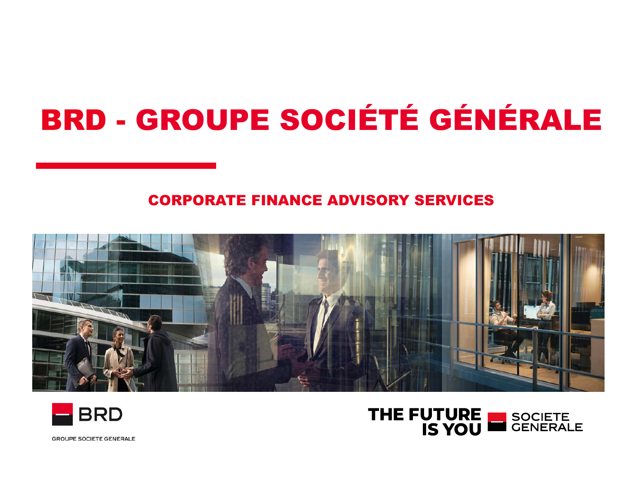## BRD - GROUPE SOCIÉTÉ GÉNÉRALE

### CORPORATE FINANCE ADVISORY SERVICES







**GROUPE SOCIETE GENERALE**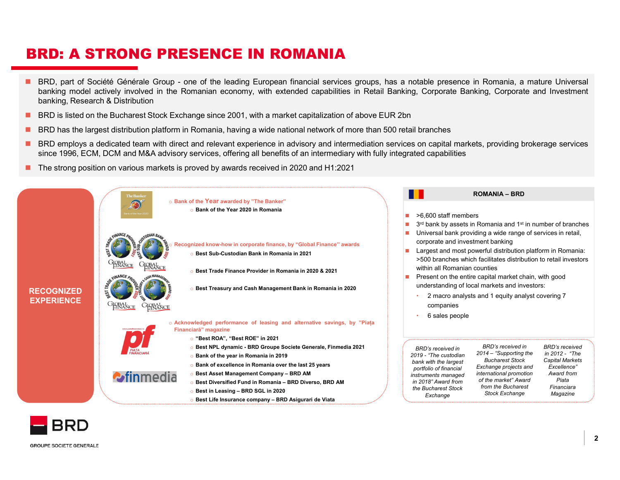- **BRD: A STRONG PRESENCE IN ROMANIA**<br> **BRD, part of Société Générale Group one of the leading European financial services groups, has a notable presence in Romania, a m<br>
banking model actively involved in the Romanian eco BRD: A STRONG PRESENCE IN ROMANIA**<br>
• BRD, part of Société Générale Group - one of the leading European financial services groups, has a notable presence in Romania, a mature Universal<br>
banking model actively involved in **RD: A STRONG PRESENCE IN ROMANIA**<br>BRD, part of Société Générale Group - one of the leading European financial services groups, has a notable presence in Romania, a mature Universal<br>banking model actively involved in the R **RD: A STRONG PRESENCE IN ROMANIA**<br>BRD, part of Société Générale Group - one of the leading European financial services group<br>banking model actively involved in the Romanian economy, with extended capabilities in R<br>banking **BRD: A STRONG PRESENCE IN ROMANIA**<br> **BRD**, part of Société Générale Group - one of the leading European financial services groups, has a notable presence in Romania, a mature Universal<br>
banking, mesearch & Distribution<br>
B **BRD: A STRONG PRESENCE IN ROMANIA**<br> **BRD,** part of Société Générale Group - one of the leading European financial services groups, has a notable presence in Romania, a mature Universal<br>
banking model actively involved in **BRD: A STRONG PRESENCE IN ROMANIA**<br>
BRD, part of Société Générale Group - one of the leading European financial services groups, has a notable presence in Romania, a mature Universal<br>
banking model actively involved in th **SINCH A STRONG PRESENCE IN ROMANIA**<br>
BRD, part of Societic Generale Group - one of the leading European financial services groups, has a notable presence in Romania, a mature Universal<br>
banking model actively involved in
- 
- 
- 
- 



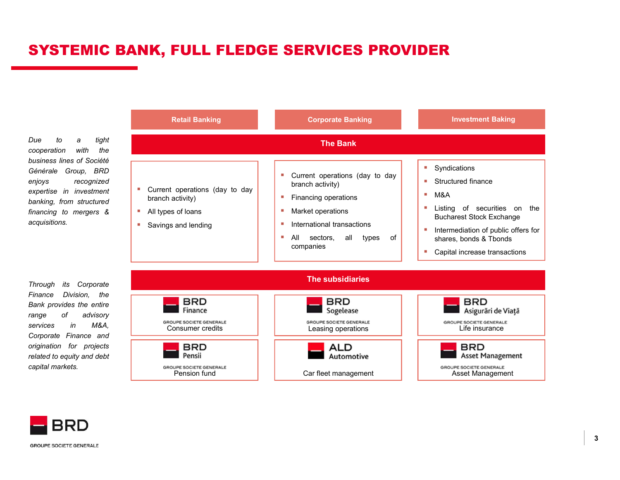#### SYSTEMIC BANK, FULL FLEDGE SERVICES PROVIDER

acquisitions.



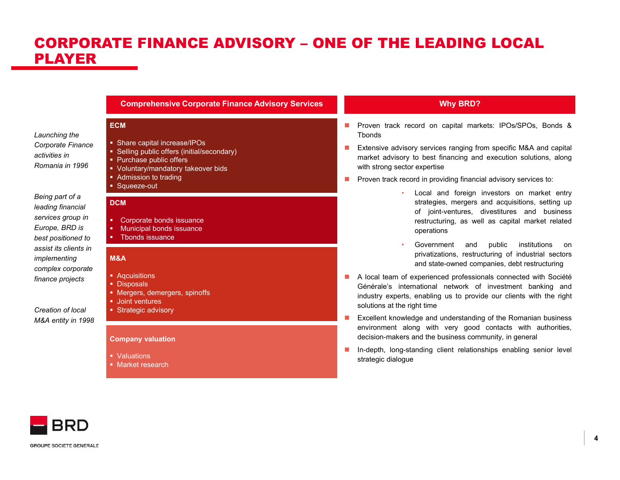# CORPORATE FINANCE ADVISORY – ONE OF THE LEADING LOCAL<br>PLAYER<br>Economistive Corporate Finance Advisory Services PLAYER